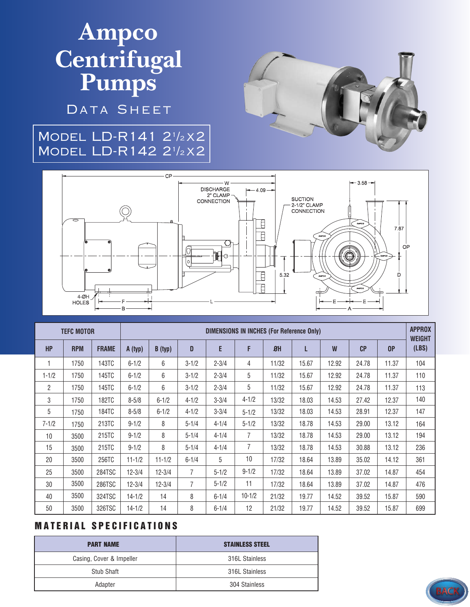# **Ampco Centrifugal Pumps**

DATA SHEET

### Model LD-R141 2<sup>1</sup> /<sup>2</sup> x2 Model LD-R142 2<sup>1</sup> /<sup>2</sup> x2





| <b>TEFC MOTOR</b> |            |              | <b>DIMENSIONS IN INCHES (For Reference Only)</b> |            |                |           |                |       |       |       |       |       | <b>APPROX</b><br><b>WEIGHT</b> |
|-------------------|------------|--------------|--------------------------------------------------|------------|----------------|-----------|----------------|-------|-------|-------|-------|-------|--------------------------------|
| <b>HP</b>         | <b>RPM</b> | <b>FRAME</b> | A (typ)                                          | B (typ)    | D              | E         | F              | 8H    | L     | W     | CP    | 0P    | (LBS)                          |
|                   | 1750       | 143TC        | $6 - 1/2$                                        | 6          | $3 - 1/2$      | $2 - 3/4$ | 4              | 11/32 | 15.67 | 12.92 | 24.78 | 11.37 | 104                            |
| $1 - 1/2$         | 1750       | 145TC        | $6 - 1/2$                                        | 6          | $3 - 1/2$      | $2 - 3/4$ | 5              | 11/32 | 15.67 | 12.92 | 24.78 | 11.37 | 110                            |
| $\overline{2}$    | 1750       | 145TC        | $6 - 1/2$                                        | 6          | $3 - 1/2$      | $2 - 3/4$ | 5              | 11/32 | 15.67 | 12.92 | 24.78 | 11.37 | 113                            |
| 3                 | 1750       | <b>182TC</b> | $8 - 5/8$                                        | $6 - 1/2$  | $4 - 1/2$      | $3 - 3/4$ | $4 - 1/2$      | 13/32 | 18.03 | 14.53 | 27.42 | 12.37 | 140                            |
| 5                 | 1750       | <b>184TC</b> | $8 - 5/8$                                        | $6 - 1/2$  | $4 - 1/2$      | $3 - 3/4$ | $5 - 1/2$      | 13/32 | 18.03 | 14.53 | 28.91 | 12.37 | 147                            |
| $7 - 1/2$         | 1750       | 213TC        | $9 - 1/2$                                        | 8          | $5 - 1/4$      | $4 - 1/4$ | $5 - 1/2$      | 13/32 | 18.78 | 14.53 | 29.00 | 13.12 | 164                            |
| 10                | 3500       | 215TC        | $9 - 1/2$                                        | 8          | $5 - 1/4$      | $4 - 1/4$ | $\overline{7}$ | 13/32 | 18.78 | 14.53 | 29.00 | 13.12 | 194                            |
| 15                | 3500       | 215TC        | $9 - 1/2$                                        | 8          | $5 - 1/4$      | $4 - 1/4$ | $\overline{7}$ | 13/32 | 18.78 | 14.53 | 30.88 | 13.12 | 236                            |
| 20                | 3500       | 256TC        | $11 - 1/2$                                       | $11 - 1/2$ | $6 - 1/4$      | 5         | 10             | 17/32 | 18.64 | 13.89 | 35.02 | 14.12 | 361                            |
| 25                | 3500       | 284TSC       | $12 - 3/4$                                       | $12 - 3/4$ | $\overline{7}$ | $5 - 1/2$ | $9 - 1/2$      | 17/32 | 18.64 | 13.89 | 37.02 | 14.87 | 454                            |
| 30                | 3500       | 286TSC       | $12 - 3/4$                                       | $12 - 3/4$ | 7              | $5 - 1/2$ | 11             | 17/32 | 18.64 | 13.89 | 37.02 | 14.87 | 476                            |
| 40                | 3500       | 324TSC       | $14 - 1/2$                                       | 14         | 8              | $6 - 1/4$ | $10 - 1/2$     | 21/32 | 19.77 | 14.52 | 39.52 | 15.87 | 590                            |
| 50                | 3500       | 326TSC       | $14 - 1/2$                                       | 14         | 8              | $6 - 1/4$ | 12             | 21/32 | 19.77 | 14.52 | 39.52 | 15.87 | 699                            |

#### **MATERIAL SPECIFICATIONS**

| <b>PART NAME</b>         | <b>STAINLESS STEEL</b> |  |  |  |
|--------------------------|------------------------|--|--|--|
| Casing, Cover & Impeller | 316L Stainless         |  |  |  |
| Stub Shaft               | 316L Stainless         |  |  |  |
| Adapter                  | 304 Stainless          |  |  |  |